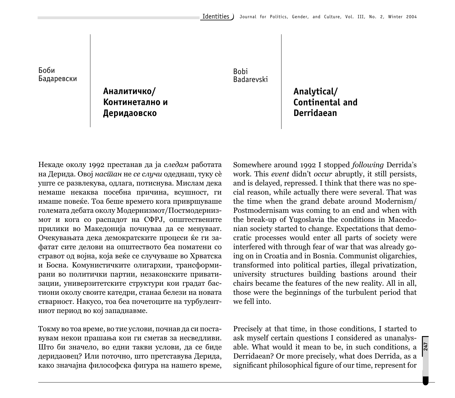Bobi Бадаревски

> Аналитичко/ Континетално и **Деридаовско**

Bobi Badarevski

> **Analytical/ Continental and Derridaean**

Некаде околу 1992 престанав да ја следам работата на Дерида. Овој насшан не се случи одеднаш, туку сè уште се развлекува, одлага, потиснува. Мислам дека немаше некаква посебна причина, всушност, ги имаше повеќе. Тоа беше времето кога привршуваше големата дебата околу Модернизмот/Постмодернизмот и кога со распадот на СФРЈ, општествените прилики во Македонија почнуваа да се менуваат. Очекувањата дека демократските процеси ќе ги зафатат сите делови на општеството беа поматени со стравот од војна, која веќе се случуваше во Хрватска и Босна. Комунистичките олигархии, трансформирани во политички партии, незаконските приватизации, универзитетските структури кои градат бастиони околу своите катедри, станаа белези на новата стварност. Накусо, тоа беа почетоците на турбулентниот период во кој западнавме.

Токму во тоа време, во тие услови, почнав да си поставувам некои прашања кои ги сметав за несведливи. Што би значело, во едни такви услови, да се биде деридаовец? Или поточно, што претставува Дерида, како значајна философска фигура на нашето време, Somewhere around 1992 I stopped *following* Derrida's work. This *event* didn't *occur* abruptly, it still persists, and is delayed, repressed. I think that there was no special reason, while actually there were several. That was the time when the grand debate around Modernism/ Postmodernisam was coming to an end and when with the break-up of Yugoslavia the conditions in Macedonian society started to change. Expectations that democratic processes would enter all parts of society were interfered with through fear of war that was already going on in Croatia and in Bosnia. Communist oligarchies, transformed into political parties, illegal privatization, university structures building bastions around their chairs became the features of the new reality. All in all, those were the beginnings of the turbulent period that we fell into.

Precisely at that time, in those conditions, I started to ask myself certain questions I considered as unanalysable. What would it mean to be, in such conditions, a Derridaean? Or more precisely, what does Derrida, as a significant philosophical figure of our time, represent for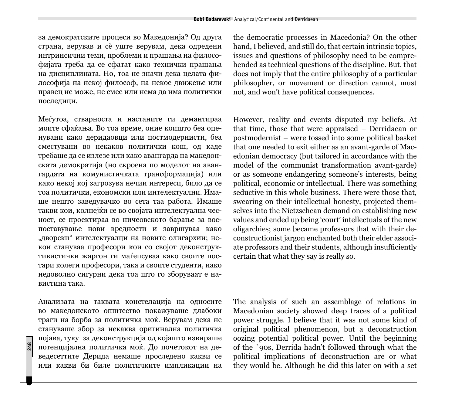за демократските процеси во Македонија? Од друга страна, верував и сѐ уште верувам, дека одредени интринсични теми, проблеми и прашања на философијата треба да се сфатат како технички прашања на дисциплината. Но, тоа не значи дека целата философија на некој философ, на некое движење или правец не може, не смее или нема да има политички последици.

Меѓутоа, стварноста и настаните ги демантираа моите сфаќања. Во тоа време, оние коишто беа оценувани како деридаовци или постмодернисти, беа сместувани во некаков политички кош, од каде требаше да се излезе или како авангарда на македонската демократија (но скроена по моделот на авангардата на комунистичката трансформација) или како некој кој загрозува нечии интереси, било да се тоа политички, економски или интелектуални. Имаше нешто заведувачко во сета таа работа. Имаше такви кои, колнејќи се во својата интелектуална чесност, се проектираа во ничеовското барање за воспоставување нови вредности и завршуваа како "дворски" интелектуалци на новите олигархии; некои стануваа професори кои со својот деконструктивистички жаргон ги маѓепсуваа како своите постари колеги професори, така и своите студенти, иако недоволно сигурни дека тоа што го зборуваат е навистина така.

Анализата на таквата констелација на односите во македонското општество покажуваше длабоки траги на борба за политичка моќ. Верувам дека не стануваше збор за некаква оригинална политичка појава, туку за деконструкција од којашто извираше потенцијална политичка моќ. До почетокот на деведесеттите Дерида немаше проследено какви се или какви би биле политичките импликации на the democratic processes in Macedonia? On the other hand, I believed, and still do, that certain intrinsic topics, issues and questions of philosophy need to be comprehended as technical questions of the discipline. But, that does not imply that the entire philosophy of a particular philosopher, or movement or direction cannot, must not, and won't have political consequences.

However, reality and events disputed my beliefs. At that time, those that were appraised – Derridaean or postmodernist – were tossed into some political basket that one needed to exit either as an avant-garde of Macedonian democracy (but tailored in accordance with the model of the communist transformation avant-garde) or as someone endangering someone's interests, being political, economic or intellectual. There was something seductive in this whole business. There were those that, swearing on their intellectual honesty, projected themselves into the Nietzschean demand on establishing new values and ended up being 'court' intellectuals of the new oligarchies; some became professors that with their deconstructionist jargon enchanted both their elder associate professors and their students, although insufficiently certain that what they say is really so.

The analysis of such an assemblage of relations in Macedonian society showed deep traces of a political power struggle. I believe that it was not some kind of original political phenomenon, but a deconstruction oozing potential political power. Until the beginning of the `90s, Derrida hadn't followed through what the political implications of deconstruction are or what they would be. Although he did this later on with a set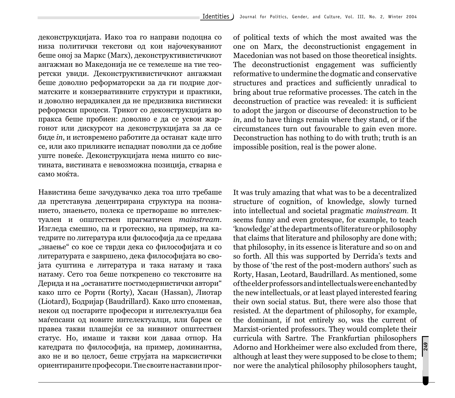деконструкцијата. Иако тоа го направи подоцна со низа политички текстови од кои најочекуваниот беше оној за Маркс (Marx), деконструктивистичкиот ангажман во Македонија не се темелеше на тие теоретски увиди. Деконструктивистичкиот ангажман беше доволно реформаторски за да ги подрие догматските и конзервативните структури и практики, и доволно нерадикален да не предизвика вистински реформски процеси. Трикот со деконструкцијата во пракса беше пробиен: доволно е да се усвои жаргонот или дискурсот на деконструкцијата за да се биде *in*, и истовремено работите да останат каде што се, или ако приликите испаднат поволни да се добие уште повеќе. Деконструкцијата нема ништо со вистината, вистината е невозможна позиција, стварна е camo moќта.

Навистина беше зачудувачко дека тоа што требаше да претставува децентрирана структура на познанието, знаењето, полека се претвораше во интелектуален и општествен прагматичен *mainstream*. Изгледа смешно, па и гротескно, на пример, на катедрите по литература или философија да се предава "знаење" со кое се тврди дека со философијата и со литературата е завршено, дека философијата во својата суштина е литература и така натаму и така натаму. Сето тоа беше поткрепено со текстовите на Дерида и на "останатите постмодернистички автори" како што се Рорти (Rorty), Хасан (Hassan), Лиотар (Liotard), Бодријар (Baudrillard). Како што споменав, некои од постарите професори и интелектуалци беа маѓепсани од новите интелектуалци, или барем се правеа такви плашејќи се за нивниот општествен статус. Но, имаше и такви кои даваа отпор. На катедрата по философија, на пример, доминантна, ако не и во целост, беше струјата на марксистички ориентираните професори. Тие своите наставни прогof political texts of which the most awaited was the one on Marx, the deconstructionist engagement in Macedonian was not based on those theoretical insights. The deconstructionist engagement was sufficiently reformative to undermine the dogmatic and conservative structures and practices and sufficiently unradical to bring about true reformative processes. The catch in the deconstruction of practice was revealed: it is sufficient to adopt the jargon or discourse of deconstruction to be *in,* and to have things remain where they stand, or if the circumstances turn out favourable to gain even more. Deconstruction has nothing to do with truth; truth is an impossible position, real is the power alone.

It was truly amazing that what was to be a decentralized structure of cognition, of knowledge, slowly turned into intellectual and societal pragmatic *mainstream*. It seems funny and even grotesque, for example, to teach 'knowledge' at the departments of literature or philosophy that claims that literature and philosophy are done with; that philosophy, in its essence is literature and so on and so forth. All this was supported by Derrida's texts and by those of 'the rest of the post-modern authors' such as Rorty, Hasan, Leotard, Baudrillard. As mentioned, some of the elder professors and intellectuals were enchanted by the new intellectuals, or at least played interested fearing their own social status. But, there were also those that resisted. At the department of philosophy, for example, the dominant, if not entirely so, was the current of Marxist-oriented professors. They would complete their curricula with Sartre. The Frankfurtian philosophers Adorno and Horkheimer were also excluded from there, although at least they were supposed to be close to them; nor were the analytical philosophy philosophers taught,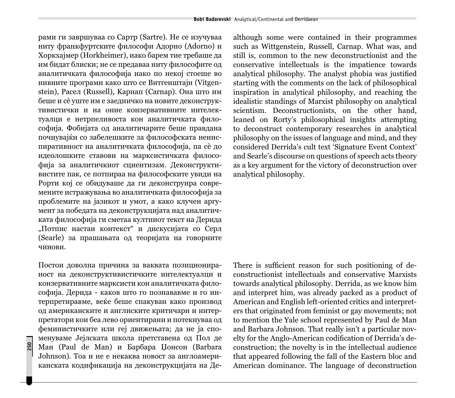рами ги завршуваа со Сартр (Sartre). Не се изучуваа ниту франкфуртските философи Адорно (Adorno) и Xopkxajmep (Horkheimer), иако барем тие требаше да им бидат блиски; не се предаваа ниту философите од аналитичката философија иако по некој стоеше во нивните програми како што се Витгенштајн (Vitgenstein), Расел (Russell), Карнап (Carnap). Она што им беше и сѐ уште им е заедничко на новите деконструктивистички и на оние конзервативните интелектуалци е нетрпеливоста кон аналитичката философија. Фобијата од аналитичарите беше правдана почнувајќи со забелешките за философската неинспиративност на аналитичката философија, па сè до идеолошките ставови на марксистичката философија за аналитичкиот сциентизам. Деконструктивистите пак, се потпираа на философските увиди на Рорти кој се обидуваше да ги деконструира современите истражувања во аналитичката философија за проблемите на јазикот и умот, а како клучен аргумент за победата на деконструкцијата над аналитичката философија ги сметаа култниот текст на Дерида "Потпис настан контекст" и дискусијата со Серл (Searle) за прашањата од теоријата на говорните чинови.

Постои доволна причина за ваквата позиционираност на деконструктивистичките интелектуалци и конзервативните марксисти кон аналитичката философија. Дерида - каков што го познававме и го интерпретиравме, веќе беше спакуван како производ од американските и англиските критичари и интерпретатори кои беа лево ориентирани и потекнуваа од феминистичките или геј движењата; да не ја споменуваме Јејлската школа претставена од Пол де Ман (Paul de Man) и Барбара Џонсон (Barbara Johnson). Тоа и не е некаква новост за англоамериканската кодификација на деконструкцијата на Де-

**250**

although some were contained in their programmes such as Wittgenstein, Russell, Carnap. What was, and still is, common to the new deconstructionist and the conservative intellectuals is the impatience towards analytical philosophy. The analyst phobia was justified starting with the comments on the lack of philosophical inspiration in analytical philosophy, and reaching the idealistic standings of Marxist philosophy on analytical scientism. Deconstructionists, on the other hand, leaned on Rorty's philosophical insights attempting to deconstruct contemporary researches in analytical philosophy on the issues of language and mind, and they considered Derrida's cult text 'Signature Event Context' and Searle's discourse on questions of speech acts theory as a key argument for the victory of deconstruction over analytical philosophy.

There is sufficient reason for such positioning of deconstructionist intellectuals and conservative Marxists towards analytical philosophy. Derrida, as we know him and interpret him, was already packed as a product of American and English left-oriented critics and interpreters that originated from feminist or gay movements; not to mention the Yale school represented by Paul de Man and Barbara Johnson. That really isn't a particular novelty for the Anglo-American codification of Derrida's deconstruction; the novelty is in the intellectual audience that appeared following the fall of the Eastern bloc and American dominance. The language of deconstruction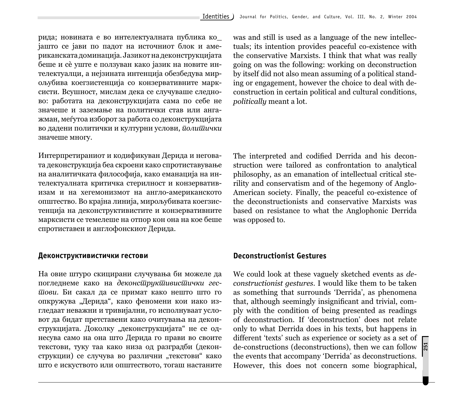рида; новината е во интелектуалната публика ко јашто се јави по падот на источниот блок и американската доминација. Јазикот на деконструкцијата беше и сѐ уште е ползуван како јазик на новите интелектуалци, а нејзината интенција обезбедува мирољубива коегзистенција со конзервативните марксисти. Всушност, мислам дека се случуваше следново: работата на деконструкцијата сама по себе не значеше и заземање на политички став или ангажман, меѓутоа изборот за работа со деконструкцијата во дадени политички и културни услови, *иолишички* значеше многу.

Интерпретираниот и кодификуван Дерида и неговата деконструкција беа скроени како спротиставување на аналитичката философија, како еманација на интелектуалната критичка стерилност и конзервативизам и на хегемонизмот на англо-американското општество. Во крајна линија, мирољубивата коегзистенција на деконструктивистите и конзервативните марксисти се темелеше на отпор кон она на кое беше спротиставен и англофонскиот Дерида.

## Деконструктивистички гестови

На овие штуро скицирани случувања би можеле да погледнеме како на деконс*иирики и еесшови.* Би сакал да се примат како нешто што го опкружува "Дерида", како феномени кои иако изгледаат неважни и тривијални, го исполнуваат условот да бидат претставени како очитувања на деконструкцијата. Доколку "деконструкцијата" не се однесува само на она што Дерида го прави во своите текстови, туку таа како низа од разградби (деконструкции) се случува во различни "текстови" како што е искуството или општеството, тогаш настаните was and still is used as a language of the new intellectuals; its intention provides peaceful co-existence with the conservative Marxists. I think that what was really going on was the following: working on deconstruction by itself did not also mean assuming of a political standing or engagement, however the choice to deal with deconstruction in certain political and cultural conditions, *politically* meant a lot.

The interpreted and codified Derrida and his deconstruction were tailored as confrontation to analytical philosophy, as an emanation of intellectual critical sterility and conservatism and of the hegemony of Anglo-American society. Finally, the peaceful co-existence of the deconstructionists and conservative Marxists was based on resistance to what the Anglophonic Derrida was opposed to.

## **Deconstructionist Gestures**

We could look at these vaguely sketched events as *deconstructionist gestures*. I would like them to be taken as something that surrounds 'Derrida', as phenomena that, although seemingly insignificant and trivial, comply with the condition of being presented as readings of deconstruction. If 'deconstruction' does not relate only to what Derrida does in his texts, but happens in different 'texts' such as experience or society as a set of de-constructions (deconstructions), then we can follow the events that accompany 'Derrida' as deconstructions. However, this does not concern some biographical,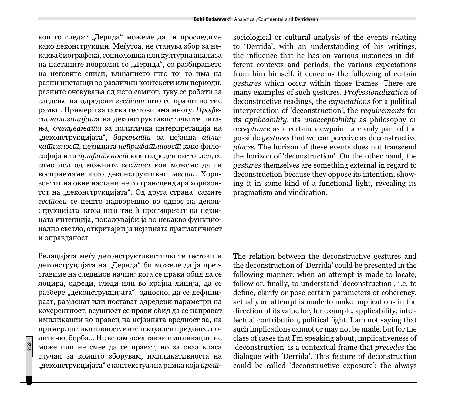кои го следат "Дерида" можеме да ги проследиме како деконструкции. Меѓутоа, не станува збор за некаква биографска, социолошка или културна анализа на настаните поврзани со "Дерида", со разбирањето на неговите списи, влијанието што тој го има на разни инстанци во различни контексти или периоди, разните очекувања од него самиот, туку се работи за следење на одредени *гестови* што се прават во тие рамки. Примери за такви гестови има многу. *Профеcuонализацијаша* на деконструктивистичките читања, очекувањаша за политичка интерпретација на "деконструкцијата", *барањаша* за нејзина *аикашивносш*, нејзината нейрифашливосш како философија или *ирифашеносш* како одреден светоглед, се само дел од можните *гесшови* кои можеме да ги восприемаме како деконструктивни *местаа*. Хоризонтот на овие настани не го трансцендира хоризонтот на "деконструкцијата". Од друга страна, самите гес*шови* се нешто надворешно во однос на деконструкцијата затоа што тие ѝ противречат на нејзината интенција, покажувајќи ја во некакво функционално светло, откривајќи ја нејзината прагматичност и оправданост.

Релацијата меѓу деконструктивистичките гестови и деконструцијата на "Дерида" би можеле да ја претставиме на следниов начин: кога се прави обид да се лоцира, одреди, следи или во крајна линија, да се разбере "деконструкцијата", односно, да се дефинираат, разјаснат или постават одредени параметри на кохерентност, всушност се прави обид да се направат импликации во правец на нејзината вредност за, на пример, апликативност, интелектуален придонес, политичка борба... Не велам дека такви импликации не може или не смее да се прават, но за оваа класа случаи за коишто зборувам, импликативноста на "деконструкцијата" е контекстуална рамка која *<del>иреш-</del>* 

sociological or cultural analysis of the events relating to 'Derrida', with an understanding of his writings, the influence that he has on various instances in different contexts and periods, the various expectations from him himself, it concerns the following of certain *gestures* which occur within those frames. There are many examples of such gestures. *Professionalization* of deconstructive readings, the *expectations* for a political interpretation of 'deconstruction', the *requirements* for its *applicability*, its *unacceptability* as philosophy or *acceptance* as a certain viewpoint*,* are only part of the possible *gestures* that we can perceive as deconstructive *places.* The horizon of these events does not transcend the horizon of 'deconstruction'. On the other hand, the *gestures* themselves are something external in regard to deconstruction because they oppose its intention, showing it in some kind of a functional light, revealing its pragmatism and vindication.

The relation between the deconstructive gestures and the deconstruction of 'Derrida' could be presented in the following manner: when an attempt is made to locate, follow or, finally, to understand 'deconstruction', i.e. to define, clarify or pose certain parameters of coherency, actually an attempt is made to make implications in the direction of its value for, for example, applicability, intellectual contribution, political fight. I am not saying that such implications cannot or may not be made, but for the class of cases that I'm speaking about, implicativeness of 'deconstruction' is a contextual frame that *precedes* the dialogue with 'Derrida'. This feature of deconstruction could be called 'deconstructive exposure': the always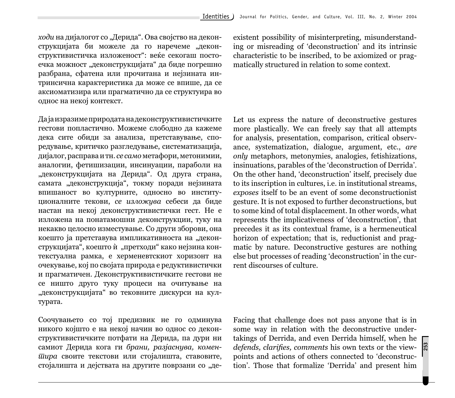*ходи* на дијалогот со "Дерида". Ова својство на деконструкцијата би можеле да го наречеме "деконструктивистичка изложеност": веќе секогаш постоечка можност "деконструкцијата" да биде погрешно разбрана, сфатена или прочитана и нејзината интринсична карактеристика да може се впише, да се аксиоматизира или прагматично да се структуира во однос на некој контекст.

Да ја изразиме природата на деконструктивистичките гестови попластично. Можеме слободно да кажеме дека сите обиди за анализа, претставување, споредување, критичко разгледување, систематизација, дијалог, расправа и тн. *се само* метафори, метонимии, аналогии, фетишизации, инсинуации, параболи на "деконструкцијата на Дерида". Од друга страна, самата "деконструкција", токму поради нејзината впишаност во културните, односно во институционалните текови, се изложува себеси да биде настан на некој деконструктивистички гест. Не е изложена на понатамошни деконструкции, туку на некакво целосно изместување. Со други зборови, она коешто ја претставува импликативноста на "деконструкцијата", коешто и "претходи" како нејзина контекстуална рамка, е херменевтскиот хоризонт на очекување, кој по својата природа е редуктивистички и прагматичен. Деконструктивистичките гестови не се ништо друго туку процеси на очитување на "деконструкцијата" во тековните дискурси на кул-Typara.

Соочувањето со тој предизвик не го одминува никого којшто е на некој начин во однос со деконструктивистичките потфати на Дерида, па дури ни samiot Derida koga gi *brani, razjasnuva, komenтира* своите текстови или стојалишта, ставовите, стојалишта и дејствата на другите поврзани со "деexistent possibility of misinterpreting, misunderstanding or misreading of 'deconstruction' and its intrinsic characteristic to be inscribed, to be axiomized or pragmatically structured in relation to some context.

Let us express the nature of deconstructive gestures more plastically. We can freely say that all attempts for analysis, presentation, comparison, critical observance, systematization, dialogue, argument, etc., *are only* metaphors, metonymies, analogies, fetishizations, insinuations, parables of the 'deconstruction of Derrida'. On the other hand, 'deconstruction' itself, precisely due to its inscription in cultures, i.e. in institutional streams, *exposes* itself to be an event of some deconstructionist gesture. It is not exposed to further deconstructions, but to some kind of total displacement. In other words, what represents the implicativeness of 'deconstruction', that precedes it as its contextual frame, is a hermeneutical horizon of expectation; that is, reductionist and pragmatic by nature. Deconstructive gestures are nothing else but processes of reading 'deconstruction' in the current discourses of culture.

Facing that challenge does not pass anyone that is in some way in relation with the deconstructive undertakings of Derrida, and even Derrida himself, when he *defends, clarifies, comments his own texts or the view*points and actions of others connected to 'deconstruction'. Those that formalize 'Derrida' and present him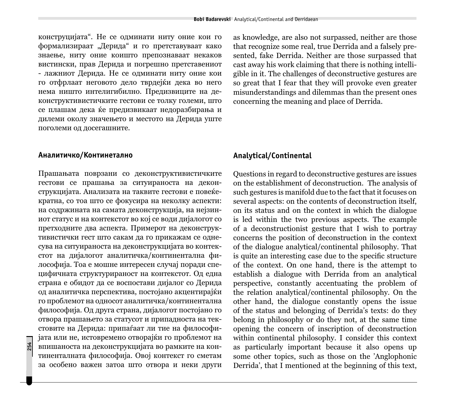конструцијата". Не се одминати ниту оние кои го формализираат "Дерида" и го претставуваат како знаење, ниту оние коишто препознаваат некаков вистински, прав Дерида и погрешно претставениот - лажниот Дерида. Не се одминати ниту оние кои го отфрлаат неговото дело тврдејќи дека во него нема ништо интелигибилно. Предизвиците на деконструктивистичките гестови се толку големи, што се плашам дека ќе предизвикаат недоразбирања и дилеми околу значењето и местото на Дерида уште поголеми од досегашните.

#### Аналитичко/Континетално

Прашањата поврзани со деконструктивистичките гестови се прашања за ситуираноста на деконструкцијата. Анализата на таквите гестови е повеќекратна, со тоа што се фокусира на неколку аспекти: на содржината на самата деконструкција, на нејзиниот статус и на контекстот во кој се води дијалогот со претходните два аспекта. Примерот на деконструктивистички гест што сакам да го прикажам се однесува на ситуираноста на деконструкцијата во контекстот на дијалогот аналитичка/континентална философија. Тоа е мошне интересен случај поради специфичната структурираност на контекстот. Од една страна е обидот да се воспостави дијалог со Дерида од аналитичка перспектива, постојано акцентирајќи го проблемот на односот аналитичка/континентална философија. Од друга страна, дијалогот постојано го отвора прашањето за статусот и припадноста на текстовите на Дерида: припаѓаат ли тие на философијата или не, истовремено отворајќи го проблемот на впишаноста на деконструкцијата во рамките на континенталната философија. Овој контекст го сметам за особено важен затоа што отвора и неки други as knowledge, are also not surpassed, neither are those that recognize some real, true Derrida and a falsely presented, fake Derrida. Neither are those surpassed that cast away his work claiming that there is nothing intelligible in it. The challenges of deconstructive gestures are so great that I fear that they will provoke even greater misunderstandings and dilemmas than the present ones concerning the meaning and place of Derrida.

## **Analytical/Continental**

Questions in regard to deconstructive gestures are issues on the establishment of deconstruction. The analysis of such gestures is manifold due to the fact that it focuses on several aspects: on the contents of deconstruction itself, on its status and on the context in which the dialogue is led within the two previous aspects. The example of a deconstructionist gesture that I wish to portray concerns the position of deconstruction in the context of the dialogue analytical/continental philosophy. That is quite an interesting case due to the specific structure of the context. On one hand, there is the attempt to establish a dialogue with Derrida from an analytical perspective, constantly accentuating the problem of the relation analytical/continental philosophy. On the other hand, the dialogue constantly opens the issue of the status and belonging of Derrida's texts: do they belong in philosophy or do they not, at the same time opening the concern of inscription of deconstruction within continental philosophy. I consider this context as particularly important because it also opens up some other topics, such as those on the 'Anglophonic Derrida', that I mentioned at the beginning of this text,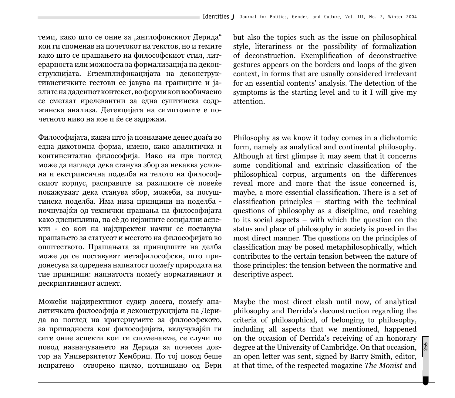теми, како што се оние за "англофонскиот Дерида" кои ги споменав на почетокот на текстов, но и темите како што се прашањето на философскиот стил, литерарноста или можноста за формализација на деконструкцијата. Егземплификацијата на деконструктивистичките гестови се јавува на границите и јазлите на дадениот контекст, во форми кои вообичаено се сметаат ирелевантни за една суштинска содржинска анализа. Детекцијата на симптомите е почетното ниво на кое и ќе се задржам.

Философијата, каква што ја познаваме денес доаѓа во една дихотомна форма, имено, како аналитичка и континентална философија. Иако на прв поглед може да изгледа дека станува збор за некаква условна и екстринсична поделба на телото на философскиот корпус, расправите за разликите сè повеќе покажуваат дека станува збор, можеби, за посуштинска поделба. Има низа принципи на поделба почнувајќи од технички прашања на философијата како дисциплина, па сè до нејзините социјални аспекти - со кои на најдиректен начин се поставува прашањето за статусот и местото на философијата во општеството. Прашањата за принципите на делба може да се поставуват метафилософски, што придонесува за одредена напнатост помеѓу природата на тие принципи: напнатоста помеѓу нормативниот и дескриптивниот аспект.

Можеби најдиректниот судир досега, помеѓу аналитичката философија и деконструкцијата на Дерида во поглед на критериумите за философското, за припадноста кон философијата, вклучувајќи ги сите оние аспекти кои ги споменавме, се случи по повод назначувањето на Дерида за почесен доктор на Универзитетот Кембриц. По тој повод беше испратено отворено писмо, потпишано од Бери but also the topics such as the issue on philosophical style, literariness or the possibility of formalization of deconstruction. Exemplification of deconstructive gestures appears on the borders and loops of the given context, in forms that are usually considered irrelevant for an essential contents' analysis. The detection of the symptoms is the starting level and to it I will give my attention.

Philosophy as we know it today comes in a dichotomic form, namely as analytical and continental philosophy. Although at first glimpse it may seem that it concerns some conditional and extrinsic classification of the philosophical corpus, arguments on the differences reveal more and more that the issue concerned is, maybe, a more essential classification. There is a set of  $classification$  principles – starting with the technical questions of philosophy as a discipline, and reaching to its social aspects – with which the question on the status and place of philosophy in society is posed in the most direct manner. The questions on the principles of classification may be posed metaphilosophically, which contributes to the certain tension between the nature of those principles: the tension between the normative and descriptive aspect.

**255** Maybe the most direct clash until now, of analytical philosophy and Derrida's deconstruction regarding the criteria of philosophical, of belonging to philosophy, including all aspects that we mentioned, happened on the occasion of Derrida's receiving of an honorary degree at the University of Cambridge. On that occasion, an open letter was sent, signed by Barry Smith, editor, at that time, of the respected magazine *The Monist* and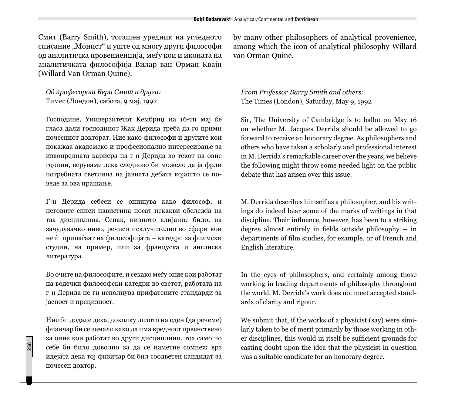Смит (Barry Smith), тогашен уредник на угледното списание "Монист" и уште од многу други философи од аналитичка провениенција, меѓу кои и иконата на аналитичката философија Вилар ван Орман Квајн (Willard Van Orman Quine).

Од *ирофесорош Бери Смиш и други:* Тимес (Лондон), сабота, 9 мај, 1992

Господине, Универзитетот Кембриџ на 16-ти мај ќе гласа дали господинот Жак Дерида треба да го прими почесниот докторат. Ние како философи и другите кои покажаа академско и професионално интересирање за извонредната кариера на г-н Дерида во текот на овие години, веруваме дека следново би можело да ја фрли потребната светлина на јавната дебата којашто се поведе за ова прашање.

Г-н Дерида себеси се опишува како философ, и неговите списи навистина носат некакви обележја на таа дисциплина. Сепак, нивното влијание било, на зачудувачко ниво, речиси исклучително во сфери кои не и припаѓаат на философијата – катедри за филмски студии, на пример, или за француска и англиска литература.

Во очите на философите, и секако меѓу оние кои работат на водечки философски катедри во светот, работата на г-н Дерида не ги исполнува прифатените стандарди за јасност и прецизност.

Ние би додале дека, доколку делото на еден (да речеме) физичар би се земало како да има вредност првенствено за оние кои работат во други дисциплини, тоа само по себе би било доволно за да се наметне сомнеж врз идејата дека тој физичар би бил соодветен кандидат за почесен доктор.

by many other philosophers of analytical provenience, among which the icon of analytical philosophy Willard van Orman Quine.

*From Professor Barry Smith and others:* The Times (London), Saturday, May 9, 1992

Sir, The University of Cambridge is to ballot on May 16 on whether M. Jacques Derrida should be allowed to go forward to receive an honorary degree. As philosophers and others who have taken a scholarly and professional interest in M. Derrida's remarkable career over the years, we believe the following might throw some needed light on the public debate that has arisen over this issue.

M. Derrida describes himself as a philosopher, and his writings do indeed bear some of the marks of writings in that discipline. Their influence, however, has been to a striking degree almost entirely in fields outside philosophy -- in departments of film studies, for example, or of French and English literature.

In the eyes of philosophers, and certainly among those working in leading departments of philosophy throughout the world, M. Derrida's work does not meet accepted standards of clarity and rigour.

We submit that, if the works of a physicist (say) were similarly taken to be of merit primarily by those working in other disciplines, this would in itself be sufficient grounds for casting doubt upon the idea that the physicist in question was a suitable candidate for an honorary degree.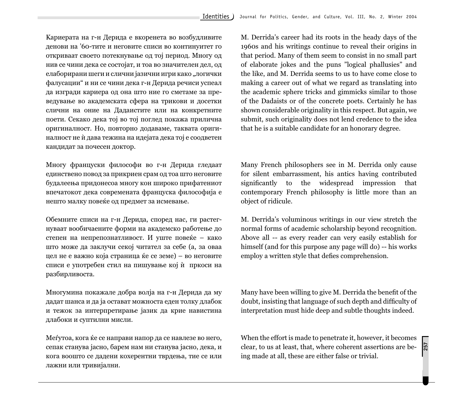Кариерата на г-н Дерида е вкоренета во возбудливите денови на '60-тите и неговите списи во континуитет го откриваат своето потекнување од тој период. Многу од нив се чини дека се состојат, и тоа во значителен дел, од елаборирани шеги и слични јазични игри како "логички фалусации" и ни се чини дека г-н Дерида речиси успеал да изгради кариера од она што ние го сметаме за преведување во академската сфера на трикови и досетки слични на оние на Дадаистите или на конкретните поети. Секако дека тој во тој поглед покажа прилична оригиналност. Но, повторно додаваме, таквата оригиналност не ѝ дава тежина на идејата дека тој е соодветен кандидат за почесен доктор.

Многу француски философи во г-н Дерида гледаат единствено повод за прикриен срам од тоа што неговите будалеења придонесоа многу кон широко прифатениот впечатокот дека современата француска философија е нешто малку повеќе од предмет за исмевање.

Обемните списи на г-н Дерида, според нас, ги растегнуваат вообичаените форми на академско работење до степен на непрепознатливост. И уште повеќе – како што може да заклучи секој читател за себе (а, за оваа цел не е важно која страница ќе се земе) – во неговите списи е употребен стил на пишување кој ѝ пркоси на разбирливоста.

Многумина покажале добра волја на г-н Дерида да му дадат шанса и да ја остават можноста еден толку длабок и тежок за интерпретирање јазик да крие навистина длабоки и суптилни мисли.

Меѓутоа, кога ќе се направи напор да се навлезе во него, сепак станува јасно, барем нам ни станува јасно, дека, и кога воошто се дадени кохерентни тврдења, тие се или лажни или тривијални.

M. Derrida's career had its roots in the heady days of the 1960s and his writings continue to reveal their origins in that period. Many of them seem to consist in no small part of elaborate jokes and the puns "logical phallusies" and the like, and M. Derrida seems to us to have come close to making a career out of what we regard as translating into the academic sphere tricks and gimmicks similar to those of the Dadaists or of the concrete poets. Certainly he has shown considerable originality in this respect. But again, we submit, such originality does not lend credence to the idea that he is a suitable candidate for an honorary degree.

Many French philosophers see in M. Derrida only cause for silent embarrassment, his antics having contributed significantly to the widespread impression that contemporary French philosophy is little more than an object of ridicule.

M. Derrida's voluminous writings in our view stretch the normal forms of academic scholarship beyond recognition. Above all -- as every reader can very easily establish for himself (and for this purpose any page will do) -- his works employ a written style that defies comprehension.

Many have been willing to give M. Derrida the benefit of the doubt, insisting that language of such depth and difficulty of interpretation must hide deep and subtle thoughts indeed.

When the effort is made to penetrate it, however, it becomes clear, to us at least, that, where coherent assertions are being made at all, these are either false or trivial.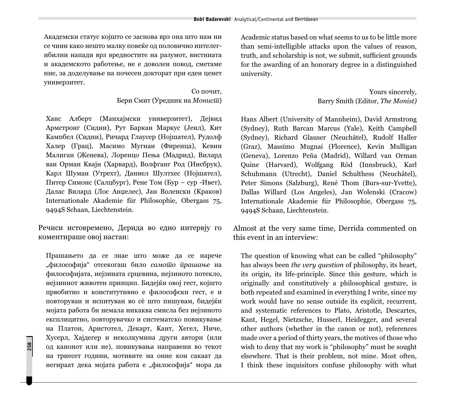Академски статус којшто се заснова врз она што нам ни се чини како нешто малку повеќе од половично интелегибилни напади врз вредностите на разумот, вистината и академското работење, не е доволен повод, сметаме ние, за доделување на почесен докторат при еден ценет универзитет.

> Со почит. Бери Смит (Урелник на *Монис* $\overline{u}$ )

Ханс Алберт (Манхајмски универзитет), Дејвид Армстронг (Силни), Рут Баркан Маркус (Јеил), Кит Кампбел (Сидни), Ричард Глаусер (Нојшател), Рудолф Халер (Грац), Масимо Мугнаи (Фиренца), Кевин Малиган (Женева), Лоренцо Пења (Малрид), Вилард ван Орман Квајн (Харвард), Волфганг Род (Инсбрук), Карл Шуман (Утрехт), Даниел Шултхес (Нојшател), Питер Симонс (Салцбург), Рене Том (Бур – сур -Ивет), Далас Вилард (Лос Анџелес), Јан Воленски (Краков) Internationale Akademie für Philosophie, Obergass 75, 9494S Schaan, Liechtenstein.

Речиси истовремено, Дерида во едно интервју го коментираше овој настан:

 $\Pi$ рашањето да се знае што може да се нарече "философија" отсекогаш било *самошо прашање* на философијата, нејзината срцевина, нејзиното потекло, нејзиниот животен принцип. Бидејќи овој гест, којшто првобитно и конститутивно е философски гест, е и повторуван и испитуван во сѐ што пишувам, бидејќи мојата работа би немала никаква смисла без нејзиното експлицитно, повторувачко и систематско повикување на Платон, Аристотел, Декарт, Кант, Хегел, Ниче, Хусерл, Хајдегер и неколкумина други автори (или од канонот или не), повикувања направени во текот на триесет години, мотивите на оние кои сакаат да негираат дека мојата работа е "философија" мора да

**258**

Academic status based on what seems to us to be little more than semi-intelligible attacks upon the values of reason, truth, and scholarship is not, we submit, sufficient grounds for the awarding of an honorary degree in a distinguished university.

> Yours sincerely, Barry Smith (Editor, *The Monist)*

Hans Albert (University of Mannheim), David Armstrong (Sydney), Ruth Barcan Marcus (Yale), Keith Campbell (Sydney), Richard Glauser (Neuchâtel), Rudolf Haller (Graz), Massimo Mugnai (Florence), Kevin Mulligan (Geneva), Lorenzo Peña (Madrid), Willard van Orman Quine (Harvard), Wolfgang Röd (Innsbruck), Karl Schuhmann (Utrecht), Daniel Schulthess (Neuchâtel), Peter Simons (Salzburg), René Thom (Burs-sur-Yvette), Dallas Willard (Los Angeles), Jan Wolenski (Cracow) Internationale Akademie für Philosophie, Obergass 75, 9494S Schaan, Liechtenstein.

Almost at the very same time, Derrida commented on this event in an interview:

The question of knowing what can be called "philosophy" has always been *the very question* of philosophy, its heart, its origin, its life-principle. Since this gesture, which is originally and constitutively a philosophical gesture, is both repeated and examined in everything I write, since my work would have no sense outside its explicit, recurrent, and systematic references to Plato, Aristotle, Descartes, Kant, Hegel, Nietzsche, Husserl, Heidegger, and several other authors (whether in the canon or not), references made over a period of thirty years, the motives of those who wish to deny that my work is "philosophy" must be sought elsewhere. That is their problem, not mine. Most often, I think these inquisitors confuse philosophy with what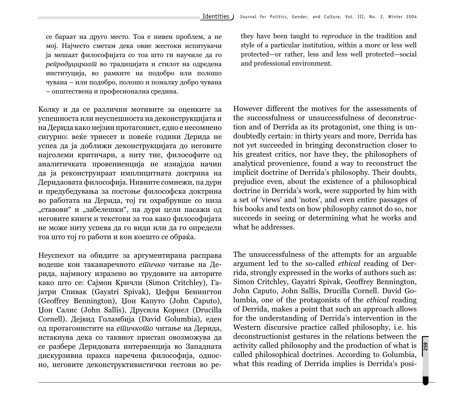се бараат на друго место. Тоа е нивен проблем, а не мој. Најчесто сметам дека овие жестоки испитувачи ja мешаат философијата со тоа што ги научиле да го  $pe\bar{u}po\partial y$ цираа $\bar{u}$  во традицијата и стилот на одредена институција, во рамките на подобро или полошо чувана – или подобро, полошо и помалку добро чувана - општествена и професионална средина.

Колку и да се различни мотивите за оценките за успешноста или неуспешноста на деконструкцијата и на Дерида како нејзин протагонист, едно е несомнено сигурно: веќе триесет и повеќе години Дерида не успеа да ја доближи деконструкцијата до неговите најголеми критичари, а ниту тие, философите од аналитичката провениенција не изнајдоа начин да ја реконструираат имплицитната доктрина на Деридаовата философија. Нивните сомнежи, па дури и предубедувања за постоње философска доктрина во работата на Дерида, тој ги охрабрувше со низа "ставови" и "забелешки", па дури цели пасажи од неговите книги и текстови за тоа како философијата не може ниту успева да го види или да го определи тоа што тој го работи и кон коешто се обраќа.

Неуспехот на обидите за аргументирана расправа водеше кон таканаречното ешичко читање на Дерида, најмногу изразено во трудовите на авторите како што се: Сајмон Кричли (Simon Critchley), Гаjaтри Спивак (Gayatri Spivak), Џефри Бенингтон (Geoffrey Bennington), Џон Капуто (John Caputo), Џон Салис (John Sallis), Друсила Корнел (Drucilla Cornell). Дејвид Голамбија (David Golumbia), еден од протагонистите на *ешичкошо* читање на Дерида, истакнува дека со таквиот пристап овозможува да се разбере Деридовата интервенција во Западната дискурзивна пракса наречена философија, односно, неговите деконструктивистички гестови во реthey have been taught to *reproduce* in the tradition and style of a particular institution, within a more or less well protected—or rather, less and less well protected—social and professional environment.

However different the motives for the assessments of the successfulness or unsuccessfulness of deconstruction and of Derrida as its protagonist, one thing is undoubtedly certain: in thirty years and more, Derrida has not yet succeeded in bringing deconstruction closer to his greatest critics, nor have they, the philosophers of analytical provenience, found a way to reconstruct the implicit doctrine of Derrida's philosophy. Their doubts, prejudice even, about the existence of a philosophical doctrine in Derrida's work, were supported by him with a set of 'views' and 'notes', and even entire passages of his books and texts on how philosophy cannot do so, nor succeeds in seeing or determining what he works and what he addresses.

The unsuccessfulness of the attempts for an arguable argument led to the so-called *ethical* reading of Derrida, strongly expressed in the works of authors such as: Simon Critchley, Gayatri Spivak, Geoffrey Bennington, John Caputo, John Sallis, Drucilla Cornell. David Golumbia, one of the protagonists of the *ethical* reading of Derrida, makes a point that such an approach allows for the understanding of Derrida's intervention in the Western discursive practice called philosophy, i.e. his deconstructionist gestures in the relations between the activity called philosophy and the production of what is called philosophical doctrines. According to Golumbia, what this reading of Derrida implies is Derrida's posi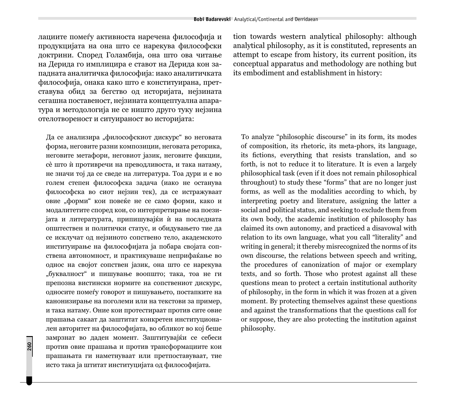лациите помеѓу активноста наречена философија и продукцијата на она што се нарекува философски доктрини. Според Голамбија, она што ова читање на Дерида го имплицира е ставот на Дерида кон западната аналитичка философија: иако аналитичката философија, онака како што е конституирана, претставува обид за бегство од историјата, нејзината сегашна поставеност, нејзината концептуална апаратура и методологија не се ништо друго туку нејзина отелотвореност и ситуираност во историјата:

Да се анализира "философскиот дискурс" во неговата форма, неговите разни композиции, неговата реторика, неговите метафори, неговиот јазик, неговите фикции, сѐ што ѝ противречи на преводливоста, и така натаму, не значи тој да се сведе на литература. Тоа дури и е во голем степен философска задача (иако не останува философска во сиот нејзин тек), да се истражуваат овие "форми" кои повеќе не се само форми, како и модалитетите според кои, со интерпретирање на поезијата и литературата, припишувајќи ѝ на последната општествен и политички статус, и обидувањето тие да се исклучат од нејзиното сопствено тело, академското институирање на философијата ја побара својата сопствена автономност, и практикуваше неприфаќање во однос на својот сопствен јазик, она што се нарекува "буквалност" и пишување воопшто; така, тоа не ги препозна вистински нормите на сопствениот дискурс, односите помеѓу говорот и пишувањето, постапките на канонизирање на поголеми или на текстови за пример, и така натаму. Оние кои протестираат против сите овие прашања сакаат да заштитат конкретен институционален авторитет на философијата, во обликот во кој беше замрзнат во даден момент. Заштитувајќи се себеси против овие прашања и против трансформациите кои прашањата ги наметнуваат или претпоставуваат, тие исто така ја штитат институцијата од философијата.

tion towards western analytical philosophy: although analytical philosophy, as it is constituted, represents an attempt to escape from history, its current position, its conceptual apparatus and methodology are nothing but its embodiment and establishment in history:

To analyze "philosophic discourse" in its form, its modes of composition, its rhetoric, its meta-phors, its language, its fictions, everything that resists translation, and so forth, is not to reduce it to literature. It is even a largely philosophical task (even if it does not remain philosophical throughout) to study these "forms" that are no longer just forms, as well as the modalities according to which, by interpreting poetry and literature, assigning the latter a social and political status, and seeking to exclude them from its own body, the academic institution of philosophy has claimed its own autonomy, and practiced a disavowal with relation to its own language, what you call "literality" and writing in general; it thereby misrecognized the norms of its own discourse, the relations between speech and writing, the procedures of canonization of major or exemplary texts, and so forth. Those who protest against all these questions mean to protect a certain institutional authority of philosophy, in the form in which it was frozen at a given moment. By protecting themselves against these questions and against the transformations that the questions call for or suppose, they are also protecting the institution against philosophy.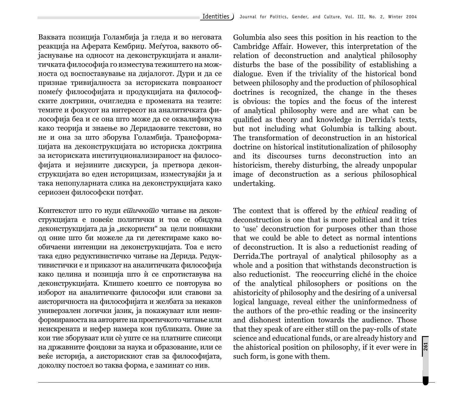Ваквата позиција Голамбија ја гледа и во неговата реакција на Аферата Кембриџ. Меѓутоа, ваквото објаснување на односот на деконструкцијата и аналитичката философија го изместува тежиштето на можноста од воспоставување на дијалогот. Дури и да се признае тривијалноста за историската поврзаност помеѓу философијата и продукцијата на философските доктрини, очигледна е промената на тезите: темите и фокусот на интересот на аналитичката философија беа и се она што може да се оквалификува како теорија и знаење во Деридаовите текстови, но не и она за што зборува Голамбија. Трансформацијата на деконструкцијата во историска доктрина за историската институционализираност на философијата и нејзините дискурси, ја претвора деконструкцијата во еден историцизам, изместувајќи ја и така непопуларната слика на деконструкцијата како сериозен философски потфат.

Контекстот што го нуди *ешичкошо* читање на деконструкцијата е повеќе политички и тоа се обидува деконструкцијата да ја "искористи" за цели поинакви од оние што би можеле да ги детектираме како вообичаени интенции на деконструкцијата. Тоа е исто така едно редуктивистичко читање на Дерида. Редуктивистички е и приказот на аналитичката философија како целина и позиција што ѝ се спротиставува на деконструкцијата. Клишето коешто се повторува во изборот на аналитичките философи или ставови за аисторичноста на философијата и желбата за некаков универзален логички јазик, ја покажуваат или неинформираноста на авторите на проетичкото читање или неискрената и нефер намера кон публиката. Оние за кои тие зборуваат или сѐ уште се на платните списоци на државните фондови за наука и образование, или се веќе историја, а аисторискиот став за философијата, доколку постоел во таква форма, е заминат со нив.

Golumbia also sees this position in his reaction to the Cambridge Affair. However, this interpretation of the relation of deconstruction and analytical philosophy disturbs the base of the possibility of establishing a dialogue. Even if the triviality of the historical bond between philosophy and the production of philosophical doctrines is recognized, the change in the theses is obvious: the topics and the focus of the interest of analytical philosophy were and are what can be qualified as theory and knowledge in Derrida's texts, but not including what Golumbia is talking about. The transformation of deconstruction in an historical doctrine on historical institutionalization of philosophy and its discourses turns deconstruction into an historicism, thereby disturbing, the already unpopular image of deconstruction as a serious philosophical undertaking.

The context that is offered by the *ethical* reading of deconstruction is one that is more political and it tries to 'use' deconstruction for purposes other than those that we could be able to detect as normal intentions of deconstruction. It is also a reductiоnist reading of Derrida.The portrayal of analytical philosophy as a whole and a position that withstands deconstruction is also reductionist. The reoccurring cliché in the choice of the analytical philosophers or positions on the ahistoricity of philosophy and the desiring of a universal logical language, reveal either the uninformedness of the authors of the pro-ethic reading or the insincerity and dishonest intention towards the audience. Those that they speak of are either still on the pay-rolls of state science and educational funds, or are already history and the ahistorical position on philosophy, if it ever were in such form, is gone with them.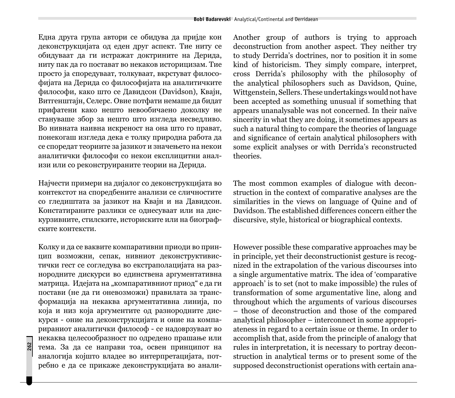Една друга група автори се обидува да пријде кон деконструкцијата од еден друг аспект. Тие ниту се обидуваат да ги истражат доктрините на Дерида, ниту пак да го постават во некаков историцизам. Тие просто ја споредуваат, толкуваат, вкрстуват философијата на Дерида со философијата на аналитичките философи, како што се Давидсон (Davidson), Квајн, Витгенштајн, Селерс. Овие потфати немаше да бидат прифатени како нешто невообичаено доколку не стануваше збор за нешто што изгледа несведливо. Во нивната наивна искреност на она што го прават, понекогаш изгледа дека е толку природна работа да се споредат теориите за јазикот и значењето на некои аналитички философи со некои експлицитни анализи или со реконструираните теории на Дерида.

Најчести примери на дијалог со деконструкцијата во контекстот на споредбените анализи се сличностите со гледиштата за јазикот на Квајн и на Давидсон. Констатираните разлики се однесуваат или на дискурзивните, стилските, историските или на биографските контексти.

Колку и да се ваквите компаративни приоди во принцип возможни, сепак, нивниот деконструктивистички гест се согледува во екстраполацијата на разнородните дискурси во единствена аргументативна матрица. Идејата на "компаративниот приод" е да ги постави (не да ги оневозможи) правилата за трансформација на некаква аргументативна линија, по која и низ која аргументите од разнородните дискурси - оние на деконструкцијата и оние на компарираниот аналитички философ - се надоврзуваат во некаква целесообразност по одредено прашање или тема. За да се направи тоа, освен принципот на аналогија којшто владее во интерпретацијата, потребно е да се прикаже деконструкцијата во аналиAnother group of authors is trying to approach deconstruction from another aspect. They neither try to study Derrida's doctrines, nor to position it in some kind of historicism. They simply compare, interpret, cross Derrida's philosophy with the philosophy of the analytical philosophers such as Davidson, Quine, Wittgenstein, Sellers. These undertakings would not have been accepted as something unusual if something that appears unanalysable was not concerned. In their naïve sincerity in what they are doing, it sometimes appears as such a natural thing to compare the theories of language and significance of certain analytical philosophers with some explicit analyses or with Derrida's reconstructed theories.

The most common examples of dialogue with deconstruction in the context of comparative analyses are the similarities in the views on language of Quine and of Davidson. The established differences concern either the discursive, style, historical or biographical contexts.

However possible these comparative approaches may be in principle, yet their deconstructionist gesture is recognized in the extrapolation of the various discourses into a single argumentative matrix. The idea of 'comparative approach' is to set (not to make impossible) the rules of transformation of some argumentative line, along and throughout which the arguments of various discourses – those of deconstruction and those of the compared analytical philosopher – interconnect in some appropriateness in regard to a certain issue or theme. In order to accomplish that, aside from the principle of analogy that rules in interpretation, it is necessary to portray deconstruction in analytical terms or to present some of the supposed deconstructionist operations with certain ana-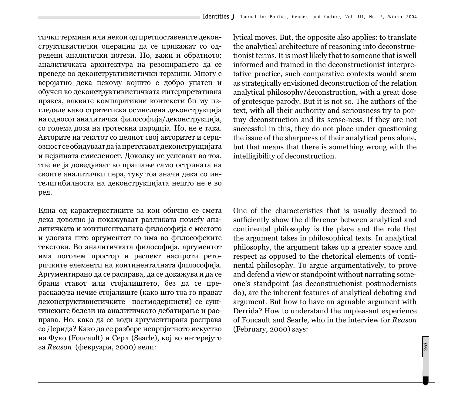тички термини или некои од претпоставените деконструктивистички операции да се прикажат со одредени аналитички потези. Но, важи и обратното: аналитичката архитектура на резонирањето да се преведе во деконструктивистички термини. Многу е веројатно дека некому којшто е добро упатен и обучен во деконструктивистичката интерпретативна пракса, ваквите компаративни контексти би му изгледале како стратегиска осмислена деконструкција на односот аналитичка философија/деконструкција, со голема доза на гротескна пародија. Но, не е така. Авторите на текстот со целиот свој авторитет и сериозност се обидуваат да ја претстават деконструкцијата и нејзината смисленост. Доколку не успеваат во тоа, тие не ја доведуваат во прашање само острината на своите аналитички пера, туку тоа значи дека со интелигибилноста на деконструкцијата нешто не е во ред.

Една од карактеристиките за кои обично се смета дека доволно ја покажуваат разликата помеѓу аналитичката и континенталната философија е местото и улогата што аргументот го има во философските текстови. Во аналитичката философија, аргументот има поголем простор и респект наспроти реторичките елементи на континенталната философија. Аргументирано да се расправа, да се докажува и да се брани ставот или стојалиштето, без да се прераскажува нечие стојалиште (како што тоа го прават деконструктивистичките постмодернисти) се суштинските белези на аналитичкото дебатирање и расправа. Но, како да се води аргументирана расправа со Дерида? Како да се разбере непријатното искуство на Фуко (Foucault) и Серл (Searle), кој во интервјуто за *Reason* (февруари, 2000) вели:

lytical moves. But, the opposite also applies: to translate the analytical architecture of reasoning into deconstructionist terms. It is most likely that to someone that is well informed and trained in the deconstructionist interpretative practice, such comparative contexts would seem as strategically envisioned deconstruction of the relation analytical philosophy/deconstruction, with a great dose of grotesque parody. But it is not so. The authors of the text, with all their authority and seriousness try to portray deconstruction and its sense-ness. If they are not successful in this, they do not place under questioning the issue of the sharpness of their analytical pens alone, but that means that there is something wrong with the intelligibility of deconstruction.

One of the characteristics that is usually deemed to sufficiently show the difference between analytical and continental philosophy is the place and the role that the argument takes in philosophical texts. In analytical philosophy, the argument takes up a greater space and respect as opposed to the rhetorical elements of continental philosophy. To argue argumentatively, to prove and defend a view or standpoint without narrating someone's standpoint (as deconstructionist postmodernists do), are the inherent features of analytical debating and argument. But how to have an agruable argument with Derrida? How to understand the unpleasant experience of Foucault and Searle, who in the interview for *Reason*  (February, 2000) says: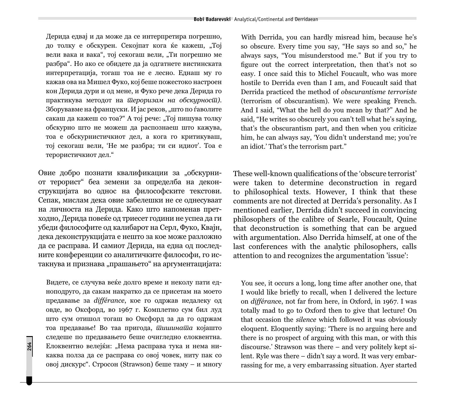Дерида едвај и да може да се интерпретира погрешно, до толку е обскурен. Секојпат кога ќе кажеш, "Тој вели вака и вака", тој секогаш вели, "Ти погрешно ме разбра". Но ако се обилете да ја одгатнете вистинската интерпретација, тогаш тоа не е лесно. Еднаш му го кажав ова на Мишел Фуко, кој беше пожестоко настроен кон Дерила дури и од мене, и Фуко рече дека Дерила го praktikuva metodot na *terorizam na obskurnost)*. Зборувавме на француски. И јас реков, "што по ѓаволите сакаш да кажеш со тоа?" А тој рече: "Тој пишува толку  $o$ бскурно што не можеш да распознаеш што кажува. тоа е обскурнистичкиот дел, а кога го критикуваш, тој секогаш вели, 'Не ме разбра; ти си идиот'. Тоа е терористичкиот дел."

Овие добро познати квалификации за "обскурниот терорист" беа земени за определба на деконструкцијата во однос на философските текстови. Сепак, мислам дека овие забелешки не се однесуваат на личноста на Дерида. Како што напоменав претходно, Дерида повеќе од триесет години не успеа да ги убеди философите од калибарот на Серл, Фуко, Квајн, дека деконструкцијата е нешто за кое може разложно да се расправа. И самиот Дерида, на една од последните конференции со аналитичките философи, го истакнува и признава "прашањето" на аргументацијата:

Видете, се случува веќе долго време и неколу пати едноподруго, да сакам накратко да се присетам на моето предавање за *différance*, кое го одржав недалеку од овде, во Оксфорд, во 1967 г. Комплетно сум бил луд што сум отишол тогаш во Оксфорд за да го одржам тоа предавање! Во таа пригода, *шишнаша* којашто следеше по предавањето беше очигледно елоквентна. Елоквентно велејќи: "Нема расправа тука и нема никаква полза да се расправа со овој човек, ниту пак со овој дискурс". Стросон (Strawson) беше таму – и многу

**264**

With Derrida, you can hardly misread him, because he's so obscure. Every time you say, "He says so and so," he always says, "You misunderstood me." But if you try to figure out the correct interpretation, then that's not so easy. I once said this to Michel Foucault, who was more hostile to Derrida even than I am, and Foucault said that Derrida practiced the method of *obscurantisme terroriste* (terrorism of obscurantism). We were speaking French. And I said, "What the hell do you mean by that?" And he said, "He writes so obscurely you can't tell what he's saying, that's the obscurantism part, and then when you criticize him, he can always say, 'You didn't understand me; you're an idiot.' That's the terrorism part."

These well-known qualifications of the 'obscure terrorist' were taken to determine deconstruction in regard to philosophical texts. However, I think that these comments are not directed at Derrida's personality. As I mentioned earlier, Derrida didn't succeed in convincing philosophers of the calibre of Searle, Fоucault, Quine that deconstruction is something that can be argued with argumentation. Also Derrida himself, at one of the last conferences with the analytic philosophers, calls attention to and recognizes the argumentation 'issue':

You see, it occurs a long, long time after another one, that I would like briefly to recall, when I delivered the lecture on *différanc*e, not far from here, in Oxford, in 1967. I was totally mad to go to Oxford then to give that lecture! On that occasion the *silence* which followed it was obviously eloquent. Eloquently saying: 'There is no arguing here and there is no prospect of arguing with this man, or with this discourse.' Strawson was there – and very politely kept silent. Ryle was there – didn't say a word. It was very embarrassing for me, a very embarrassing situation. Ayer started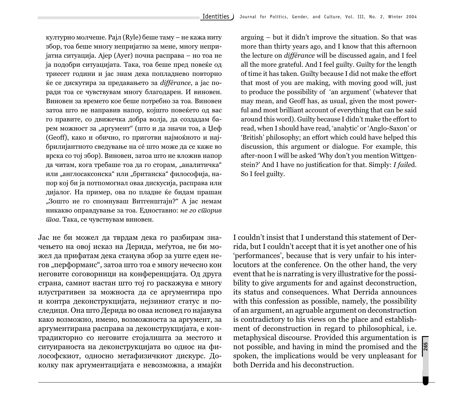културно молчеше. Рајл (Ryle) беше таму – не кажа ниту збор, тоа беше многу непријатно за мене, многу непри $i$ атна ситуација. Ајер (Ayer) почна расправа – но тоа не ја подобри ситуацијата. Така, тоа беше пред повеќе од триесет години и јас знам дека попладнево повторно }e se diskutira za predavaweto za *différance*, a jas poради тоа се чувствувам многу благодарен. И виновен. Виновен за времето кое беше потребно за тоа. Виновен затоа што не направив напор, којшто повеќето од вас го правите, со движечка добра волја, да создадам барем можност за "аргумент" (што и да значи тоа, а Џеф (Geoff), како и обично, го приготви најмоќното и најбрилијантното сведување на се што може да се каже во врска со тој збор). Виновен, затоа што не вложив напор да читам, кога требаше тоа да го сторам, "аналитичка" или "англосаксонска" или "британска" философија, напор кој би ја потпомогнал оваа лискусија, расправа или дијалог. На пример, ова по пладне ќе бидам прашан "Зошто не го спомнуваш Витгенштајн?" А јас немам никакво оправдување за тоа. Едноставно: *не го сшорив*  $\overline{u}$ оа. Така, се чувствувам виновен.

Јас не би можел да тврдам дека го разбирам значењето на овој исказ на Дерида, меѓутоа, не би можел да прифатам дека станува збор за уште еден негов "перформанс", затоа што тоа е многу нечесно кон неговите соговорници на конференцијата. Од друга страна, самиот настан што тој го раскажува е многу илустративен за можноста да се аргументира про и контра деконструкцијата, нејзиниот статус и последици. Она што Дерида во оваа исповед го најавува како возможно, имено, возможноста за аргумент, за аргументирана расправа за деконструкцијата, е контрадикторно со неговите стојалишта за местото и ситуираноста на деконструкцијата во однос на философскиот, односно метафизичкиот дискурс. Доколку пак аргументацијата е невозможна, а имајќи

arguing – but it didn't improve the situation. So that was more than thirty years ago, and I know that this afternoon the lecture on *différance* will be discussed again, and I feel all the more grateful. And I feel guilty. Guilty for the length of time it has taken. Guilty because I did not make the effort that most of you are making, with moving good will, just to produce the possibility of 'an argument' (whatever that may mean, and Geoff has, as usual, given the most powerful and most brilliant account of everything that can be said around this word). Guilty because I didn't make the effort to read, when I should have read, 'analytic' or 'Anglo-Saxon' or 'British' philosophy; an effort which could have helped this discussion, this argument or dialogue. For example, this after-noon I will be asked 'Why don't you mention Wittgenstein?' And I have no justification for that. Simply: *I failed*. So I feel guilty.

I couldn't insist that I understand this statement of Derrida, but I couldn't accept that it is yet another one of his 'performances', because that is very unfair to his interlocutors at the conference. On the other hand, the very event that he is narrating is very illustrative for the possibility to give arguments for and against deconstruction, its status and consequences. What Derrida announces with this confession as possible, namely, the possibility of an argument, an agruable argument on deconstruction is contradictory to his views on the place and establishment of deconstruction in regard to philosophical, i.e. metaphysical discourse. Provided this argumentation is not possible, and having in mind the promised and the spoken, the implications would be very unpleasant for both Derrida and his deconstruction.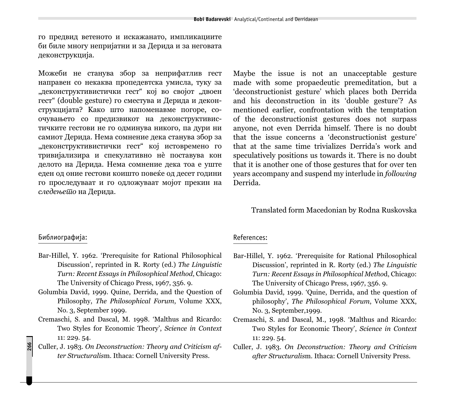го предвид ветеното и искажанато, импликациите би биле многу непријатни и за Дерида и за неговата деконструкција.

Можеби не станува збор за неприфатлив гест направен со некаква пропедевтска умисла, туку за "деконструктивистички гест" кој во својот "двоен гест" (double gesture) го сместува и Дерида и деконструкцијата? Како што напоменавме погоре, соочувањето со предизвикот на деконструктивистичките гестови не го одминува никого, па дури ни самиот Дерида. Нема сомнение дека станува збор за "деконструктивистички гест" кој истовремено го тривијализира и спекулативно не поставува кон делото на Дерида. Нема сомнение дека тоа е уште еден од оние гестови коишто повеќе од десет години го проследуваат и го одложуваат мојот прекин на следење<del>ш</del>о на Дерида.

Maybe the issue is not an unacceptable gesture made with some propaedeutic premeditation, but a 'deconstructionist gesture' which places both Derrida and his deconstruction in its 'double gesture'? As mentioned earlier, confrontation with the temptation of the deconstructiоnist gestures does not surpass anyone, not even Derrida himself. There is no doubt that the issue concerns a 'deconstructionist gesture' that at the same time trivializes Derrida's work and speculatively positions us towards it. There is no doubt that it is another one of those gestures that for over ten years accompany and suspend my interlude in *following* Derrida.

#### Translated form Macedonian by Rodna Ruskovska

# Библиографија:

**266**

- Bar-Hillel, Y. 1962. 'Prerequisite for Rational Philosophical Discussion', reprinted in R. Rorty (ed.) *The Linguistic Turn: Recent Essays in Philosophical Method*, Chicago: The University of Chicago Press, 1967, 356. 9.
- Golumbia David, 1999. Quine, Derrida, and the Question of Philosophy, *The Philosophical Forum*, Volume XXX, No. 3, September 1999.
- Cremaschi, S. and Dascal, M. 1998. 'Malthus and Ricardo: Two Styles for Economic Theory', *Science in Context*  11: 229. 54.
- Culler, J. 1983. *On Deconstruction: Theory and Criticism after Structuralis*m. Ithaca: Cornell University Press.

### References:

- Bar-Hillel, Y. 1962. 'Prerequisite for Rational Philosophical Discussion', reprinted in R. Rorty (ed.) *The Linguistic Turn: Recent Essays in Philosophical Metho*d, Chicago: The University of Chicago Press, 1967, 356. 9.
- Golumbia David, 1999. 'Quine, Derrida, and the question of philosophy', *The Philosophical Forum*, Volume XXX, No. 3, September,1999.
- Cremaschi, S. and Dascal, M., 1998. 'Malthus and Ricardo: Two Styles for Economic Theory', *Science in Context*  11: 229. 54.
- Culler, J. 1983. *On Deconstruction: Theory and Criticism after Structuralis*m. Ithaca: Cornell University Press.